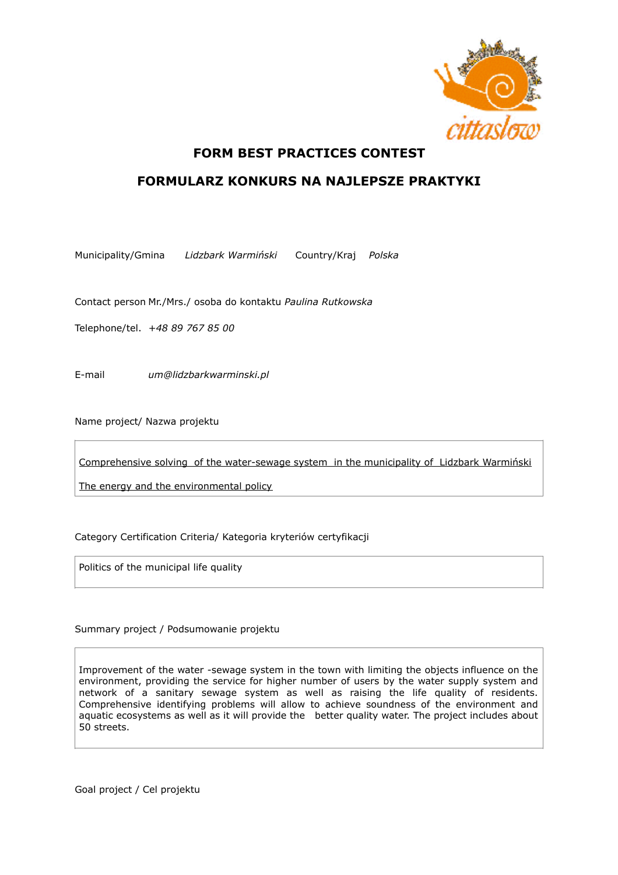

## **FORM BEST PRACTICES CONTEST**

## **FORMULARZ KONKURS NA NAJLEPSZE PRAKTYKI**

Municipality/Gmina *Lidzbark Warmiński* Country/Kraj *Polska*

Contact person Mr./Mrs./ osoba do kontaktu *Paulina Rutkowska*

Telephone/tel. *+48 89 767 85 00* 

E-mail *um@lidzbarkwarminski.pl* 

Name project/ Nazwa projektu

Comprehensive solving of the water-sewage system in the municipality of Lidzbark Warmiński

The energy and the environmental policy

Category Certification Criteria/ Kategoria kryteriów certyfikacji

Politics of the municipal life quality

## Summary project / Podsumowanie projektu

Improvement of the water -sewage system in the town with limiting the objects influence on the environment, providing the service for higher number of users by the water supply system and network of a sanitary sewage system as well as raising the life quality of residents. Comprehensive identifying problems will allow to achieve soundness of the environment and aquatic ecosystems as well as it will provide the better quality water. The project includes about 50 streets.

Goal project / Cel projektu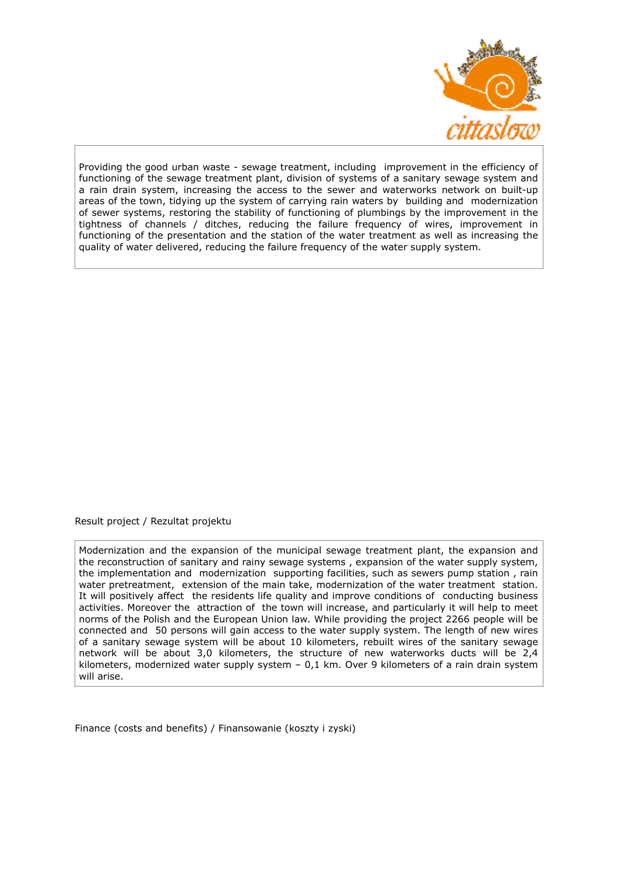

Providing the good urban waste - sewage treatment, including improvement in the efficiency of functioning of the sewage treatment plant, division of systems of a sanitary sewage system and a rain drain system, increasing the access to the sewer and waterworks network on built-up areas of the town, tidying up the system of carrying rain waters by building and modernization of sewer systems, restoring the stability of functioning of plumbings by the improvement in the tightness of channels / ditches, reducing the failure frequency of wires, improvement in functioning of the presentation and the station of the water treatment as well as increasing the quality of water delivered, reducing the failure frequency of the water supply system.

Result project / Rezultat projektu

Modernization and the expansion of the municipal sewage treatment plant, the expansion and the reconstruction of sanitary and rainy sewage systems , expansion of the water supply system, the implementation and modernization supporting facilities, such as sewers pump station , rain water pretreatment, extension of the main take, modernization of the water treatment station. It will positively affect the residents life quality and improve conditions of conducting business activities. Moreover the attraction of the town will increase, and particularly it will help to meet norms of the Polish and the European Union law. While providing the project 2266 people will be connected and 50 persons will gain access to the water supply system. The length of new wires of a sanitary sewage system will be about 10 kilometers, rebuilt wires of the sanitary sewage network will be about 3,0 kilometers, the structure of new waterworks ducts will be 2,4 kilometers, modernized water supply system  $-0.1$  km. Over 9 kilometers of a rain drain system will arise.

Finance (costs and benefits) / Finansowanie (koszty i zyski)